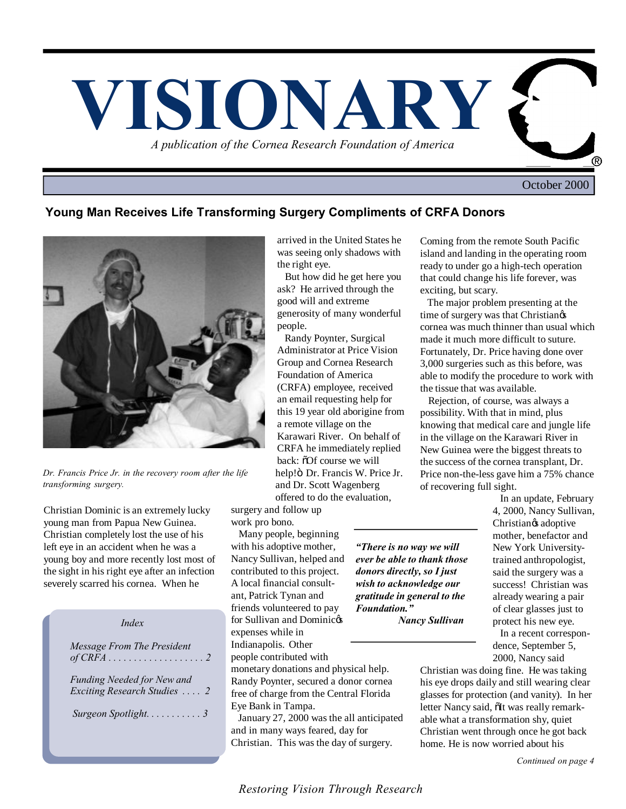

October 2000

# **Young Man Receives Life Transforming Surgery Compliments of CRFA Donors**



*Dr. Francis Price Jr. in the recovery room after the life transforming surgery.*

Christian Dominic is an extremely lucky young man from Papua New Guinea. Christian completely lost the use of his left eye in an accident when he was a young boy and more recently lost most of the sight in his right eye after an infection severely scarred his cornea. When he

| Index                                                             |
|-------------------------------------------------------------------|
| Message From The President                                        |
| <b>Funding Needed for New and</b><br>Exciting Research Studies  2 |
| Surgeon Spotlight3                                                |
|                                                                   |

arrived in the United States he was seeing only shadows with the right eye.

 But how did he get here you ask? He arrived through the good will and extreme generosity of many wonderful people.

 Randy Poynter, Surgical Administrator at Price Vision Group and Cornea Research Foundation of America (CRFA) employee, received an email requesting help for this 19 year old aborigine from a remote village on the Karawari River. On behalf of CRFA he immediately replied back:  $\delta$ Of course we will help!ö Dr. Francis W. Price Jr. and Dr. Scott Wagenberg offered to do the evaluation,

surgery and follow up work pro bono.

 Many people, beginning with his adoptive mother, Nancy Sullivan, helped and contributed to this project. A local financial consultant, Patrick Tynan and friends volunteered to pay for Sullivan and Dominicos expenses while in Indianapolis. Other

people contributed with

monetary donations and physical help. Randy Poynter, secured a donor cornea free of charge from the Central Florida Eye Bank in Tampa.

 January 27, 2000 was the all anticipated and in many ways feared, day for Christian. This was the day of surgery.

Coming from the remote South Pacific island and landing in the operating room ready to under go a high-tech operation that could change his life forever, was exciting, but scary.

 The major problem presenting at the time of surgery was that Christian $\alpha$ cornea was much thinner than usual which made it much more difficult to suture. Fortunately, Dr. Price having done over 3,000 surgeries such as this before, was able to modify the procedure to work with the tissue that was available.

 Rejection, of course, was always a possibility. With that in mind, plus knowing that medical care and jungle life in the village on the Karawari River in New Guinea were the biggest threats to the success of the cornea transplant, Dr. Price non-the-less gave him a 75% chance of recovering full sight.

*"There is no way we will ever be able to thank those donors directly, so I just wish to acknowledge our gratitude in general to the Foundation."*

 *Nancy Sullivan*

 In an update, February 4, 2000, Nancy Sullivan, Christian<sub>®</sub> adoptive mother, benefactor and New York Universitytrained anthropologist, said the surgery was a success! Christian was already wearing a pair of clear glasses just to protect his new eye.

 In a recent correspondence, September 5, 2000, Nancy said

Christian was doing fine. He was taking his eye drops daily and still wearing clear glasses for protection (and vanity). In her letter Nancy said,  $\delta$ It was really remarkable what a transformation shy, quiet Christian went through once he got back home. He is now worried about his

*Continued on page 4*

*Restoring Vision Through Research*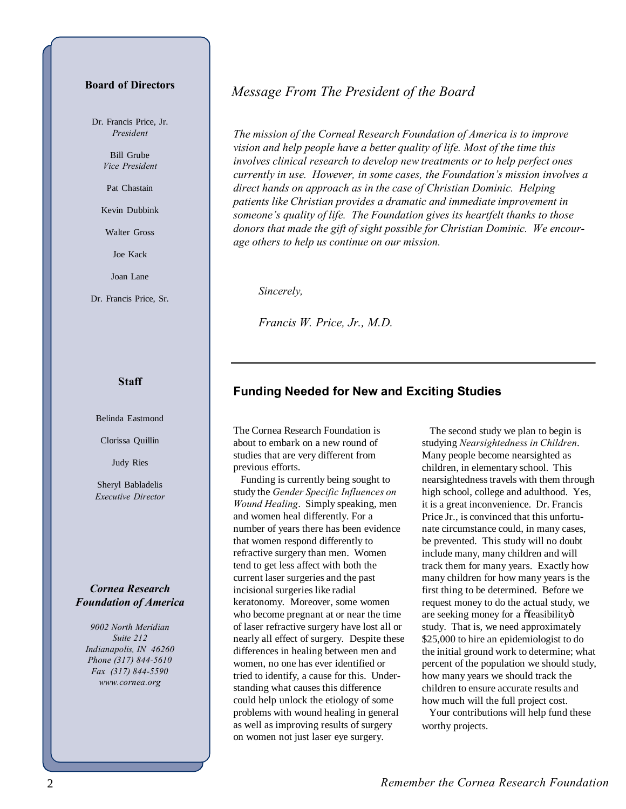#### **Board of Directors**

Dr. Francis Price, Jr. *President*

> Bill Grube *Vice President*

Pat Chastain

Kevin Dubbink

Walter Gross

Joe Kack

Joan Lane

Dr. Francis Price, Sr.

#### **Staff**

Belinda Eastmond

Clorissa Quillin

Judy Ries

Sheryl Babladelis *Executive Director*

#### *Cornea Research Foundation of America*

*9002 North Meridian Suite 212 Indianapolis, IN 46260 Phone (317) 844-5610 Fax (317) 844-5590 www.cornea.org*

# *Message From The President of the Board*

*The mission of the Corneal Research Foundation of America is to improve vision and help people have a better quality of life. Most of the time this involves clinical research to develop new treatments or to help perfect ones currently in use. However, in some cases, the Foundation's mission involves a direct hands on approach as in the case of Christian Dominic. Helping patients like Christian provides a dramatic and immediate improvement in someone's quality of life. The Foundation gives its heartfelt thanks to those donors that made the gift of sight possible for Christian Dominic. We encourage others to help us continue on our mission.*

*Sincerely,*

*Francis W. Price, Jr., M.D.*

# **Funding Needed for New and Exciting Studies**

The Cornea Research Foundation is about to embark on a new round of studies that are very different from previous efforts.

 Funding is currently being sought to study the *Gender Specific Influences on Wound Healing*. Simply speaking, men and women heal differently. For a number of years there has been evidence that women respond differently to refractive surgery than men. Women tend to get less affect with both the current laser surgeries and the past incisional surgeries like radial keratonomy. Moreover, some women who become pregnant at or near the time of laser refractive surgery have lost all or nearly all effect of surgery. Despite these differences in healing between men and women, no one has ever identified or tried to identify, a cause for this. Understanding what causes this difference could help unlock the etiology of some problems with wound healing in general as well as improving results of surgery on women not just laser eye surgery.

 The second study we plan to begin is studying *Nearsightedness in Children*. Many people become nearsighted as children, in elementary school. This nearsightedness travels with them through high school, college and adulthood. Yes, it is a great inconvenience. Dr. Francis Price Jr., is convinced that this unfortunate circumstance could, in many cases, be prevented. This study will no doubt include many, many children and will track them for many years. Exactly how many children for how many years is the first thing to be determined. Before we request money to do the actual study, we are seeking money for a õfeasibilityö study. That is, we need approximately \$25,000 to hire an epidemiologist to do the initial ground work to determine; what percent of the population we should study, how many years we should track the children to ensure accurate results and how much will the full project cost.

 Your contributions will help fund these worthy projects.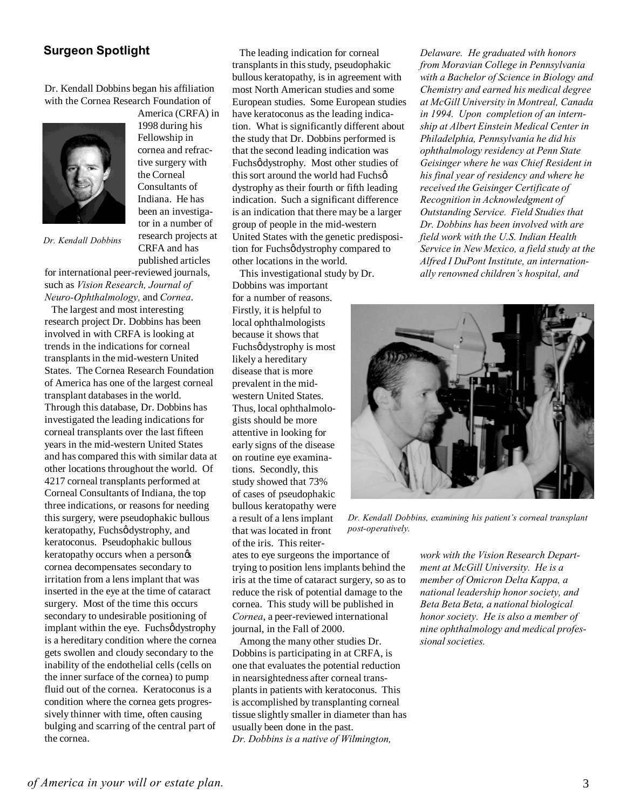# **Surgeon Spotlight**

Dr. Kendall Dobbins began his affiliation with the Cornea Research Foundation of America (CRFA) in

> 1998 during his Fellowship in cornea and refractive surgery with the Corneal Consultants of Indiana. He has been an investigator in a number of research projects at CRFA and has



*Dr. Kendall Dobbins*

published articles for international peer-reviewed journals, such as *Vision Research, Journal of Neuro-Ophthalmology,* and *Cornea*.

 The largest and most interesting research project Dr. Dobbins has been involved in with CRFA is looking at trends in the indications for corneal transplants in the mid-western United States. The Cornea Research Foundation of America has one of the largest corneal transplant databases in the world. Through this database, Dr. Dobbins has investigated the leading indications for corneal transplants over the last fifteen years in the mid-western United States and has compared this with similar data at other locations throughout the world. Of 4217 corneal transplants performed at Corneal Consultants of Indiana, the top three indications, or reasons for needing this surgery, were pseudophakic bullous keratopathy, Fuchsø dystrophy, and keratoconus. Pseudophakic bullous keratopathy occurs when a person $\alpha$ cornea decompensates secondary to irritation from a lens implant that was inserted in the eye at the time of cataract surgery. Most of the time this occurs secondary to undesirable positioning of implant within the eye. Fuchsødystrophy is a hereditary condition where the cornea gets swollen and cloudy secondary to the inability of the endothelial cells (cells on the inner surface of the cornea) to pump fluid out of the cornea. Keratoconus is a condition where the cornea gets progressively thinner with time, often causing bulging and scarring of the central part of the cornea.

 The leading indication for corneal transplants in this study, pseudophakic bullous keratopathy, is in agreement with most North American studies and some European studies. Some European studies have keratoconus as the leading indication. What is significantly different about the study that Dr. Dobbins performed is that the second leading indication was Fuchsø dystrophy. Most other studies of this sort around the world had Fuchsø dystrophy as their fourth or fifth leading indication. Such a significant difference is an indication that there may be a larger group of people in the mid-western United States with the genetic predisposition for Fuchsø dystrophy compared to other locations in the world.

 This investigational study by Dr. Dobbins was important for a number of reasons. Firstly, it is helpful to local ophthalmologists because it shows that Fuchsø dystrophy is most likely a hereditary disease that is more prevalent in the midwestern United States. Thus, local ophthalmologists should be more attentive in looking for early signs of the disease on routine eye examinations. Secondly, this study showed that 73% of cases of pseudophakic bullous keratopathy were a result of a lens implant that was located in front of the iris. This reiter-

ates to eye surgeons the importance of trying to position lens implants behind the iris at the time of cataract surgery, so as to reduce the risk of potential damage to the cornea. This study will be published in *Cornea*, a peer-reviewed international journal, in the Fall of 2000.

 Among the many other studies Dr. Dobbins is participating in at CRFA, is one that evaluates the potential reduction in nearsightedness after corneal transplants in patients with keratoconus. This is accomplished by transplanting corneal tissue slightly smaller in diameter than has usually been done in the past. *Dr. Dobbins is a native of Wilmington,*

*Delaware. He graduated with honors from Moravian College in Pennsylvania with a Bachelor of Science in Biology and Chemistry and earned his medical degree at McGill University in Montreal, Canada in 1994. Upon completion of an internship at Albert Einstein Medical Center in Philadelphia, Pennsylvania he did his ophthalmology residency at Penn State Geisinger where he was Chief Resident in his final year of residency and where he received the Geisinger Certificate of Recognition in Acknowledgment of Outstanding Service. Field Studies that Dr. Dobbins has been involved with are field work with the U.S. Indian Health Service in New Mexico, a field study at the Alfred I DuPont Institute, an internationally renowned children's hospital, and*



*Dr. Kendall Dobbins, examining his patient's corneal transplant post-operatively.*

*work with the Vision Research Department at McGill University. He is a member of Omicron Delta Kappa, a national leadership honor society, and Beta Beta Beta, a national biological honor society. He is also a member of nine ophthalmology and medical professional societies.*